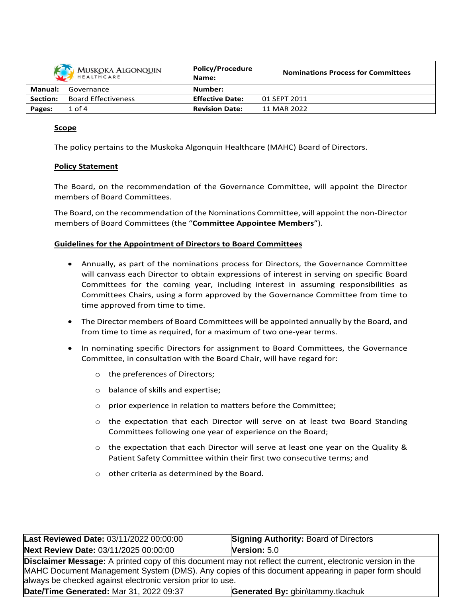| MUSKOKA ALGONQUIN |                            | <b>Policy/Procedure</b><br>Name: | <b>Nominations Process for Committees</b> |
|-------------------|----------------------------|----------------------------------|-------------------------------------------|
| Manual:           | Governance                 | Number:                          |                                           |
| Section:          | <b>Board Effectiveness</b> | <b>Effective Date:</b>           | 01 SEPT 2011                              |
| Pages:            | $1$ of $4$                 | <b>Revision Date:</b>            | 11 MAR 2022                               |

### **Scope**

The policy pertains to the Muskoka Algonquin Healthcare (MAHC) Board of Directors.

#### **Policy Statement**

The Board, on the recommendation of the Governance Committee, will appoint the Director members of Board Committees.

The Board, on the recommendation of the Nominations Committee, will appoint the non-Director members of Board Committees (the "**Committee Appointee Members**").

#### **Guidelines for the Appointment of Directors to Board Committees**

- Annually, as part of the nominations process for Directors, the Governance Committee will canvass each Director to obtain expressions of interest in serving on specific Board Committees for the coming year, including interest in assuming responsibilities as Committees Chairs, using a form approved by the Governance Committee from time to time approved from time to time.
- The Director members of Board Committees will be appointed annually by the Board, and from time to time as required, for a maximum of two one-year terms.
- In nominating specific Directors for assignment to Board Committees, the Governance Committee, in consultation with the Board Chair, will have regard for:
	- o the preferences of Directors;
	- o balance of skills and expertise;
	- o prior experience in relation to matters before the Committee;
	- $\circ$  the expectation that each Director will serve on at least two Board Standing Committees following one year of experience on the Board;
	- $\circ$  the expectation that each Director will serve at least one year on the Quality & Patient Safety Committee within their first two consecutive terms; and
	- o other criteria as determined by the Board.

| Last Reviewed Date: 03/11/2022 00:00:00                                                                                                                                                                                                                                              | <b>Signing Authority: Board of Directors</b> |  |  |
|--------------------------------------------------------------------------------------------------------------------------------------------------------------------------------------------------------------------------------------------------------------------------------------|----------------------------------------------|--|--|
| Next Review Date: 03/11/2025 00:00:00                                                                                                                                                                                                                                                | Version: 5.0                                 |  |  |
| <b>Disclaimer Message:</b> A printed copy of this document may not reflect the current, electronic version in the<br>MAHC Document Management System (DMS). Any copies of this document appearing in paper form should<br>always be checked against electronic version prior to use. |                                              |  |  |
| Date/Time Generated: Mar 31, 2022 09:37<br>Generated By: gbin\tammy.tkachuk                                                                                                                                                                                                          |                                              |  |  |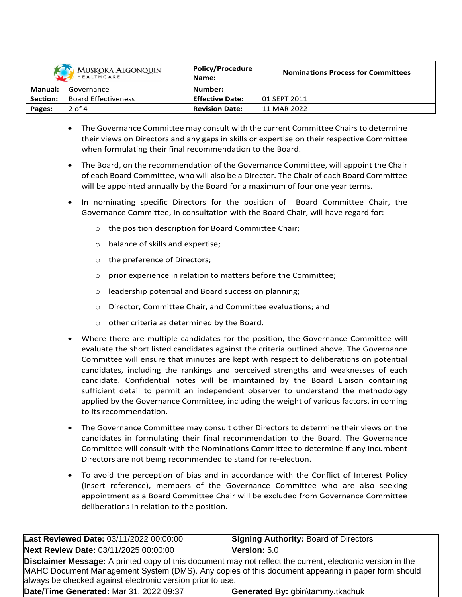

| MUSKOKA ALGONQUIN<br>HEALTHCARE |                            | <b>POIICY/Procedure</b><br>Name: | <b>Nominations Process for Committees</b> |
|---------------------------------|----------------------------|----------------------------------|-------------------------------------------|
| Manual:                         | Governance                 | Number:                          |                                           |
| Section:                        | <b>Board Effectiveness</b> | <b>Effective Date:</b>           | 01 SEPT 2011                              |
| Pages:                          | $2$ of 4                   | <b>Revision Date:</b>            | 11 MAR 2022                               |

**Policy/Procedure**

- The Governance Committee may consult with the current Committee Chairs to determine their views on Directors and any gaps in skills or expertise on their respective Committee when formulating their final recommendation to the Board.
- The Board, on the recommendation of the Governance Committee, will appoint the Chair of each Board Committee, who will also be a Director. The Chair of each Board Committee will be appointed annually by the Board for a maximum of four one year terms.
- In nominating specific Directors for the position of Board Committee Chair, the Governance Committee, in consultation with the Board Chair, will have regard for:
	- o the position description for Board Committee Chair;
	- o balance of skills and expertise;
	- o the preference of Directors;
	- o prior experience in relation to matters before the Committee;
	- o leadership potential and Board succession planning;
	- o Director, Committee Chair, and Committee evaluations; and
	- o other criteria as determined by the Board.
- Where there are multiple candidates for the position, the Governance Committee will evaluate the short listed candidates against the criteria outlined above. The Governance Committee will ensure that minutes are kept with respect to deliberations on potential candidates, including the rankings and perceived strengths and weaknesses of each candidate. Confidential notes will be maintained by the Board Liaison containing sufficient detail to permit an independent observer to understand the methodology applied by the Governance Committee, including the weight of various factors, in coming to its recommendation.
- The Governance Committee may consult other Directors to determine their views on the candidates in formulating their final recommendation to the Board. The Governance Committee will consult with the Nominations Committee to determine if any incumbent Directors are not being recommended to stand for re-election.
- To avoid the perception of bias and in accordance with the Conflict of Interest Policy (insert reference), members of the Governance Committee who are also seeking appointment as a Board Committee Chair will be excluded from Governance Committee deliberations in relation to the position.

| Last Reviewed Date: 03/11/2022 00:00:00                                                                                                                                                                                                                                              | <b>Signing Authority: Board of Directors</b> |  |
|--------------------------------------------------------------------------------------------------------------------------------------------------------------------------------------------------------------------------------------------------------------------------------------|----------------------------------------------|--|
| Next Review Date: 03/11/2025 00:00:00                                                                                                                                                                                                                                                | <b>Version:</b> $5.0$                        |  |
| <b>Disclaimer Message:</b> A printed copy of this document may not reflect the current, electronic version in the<br>MAHC Document Management System (DMS). Any copies of this document appearing in paper form should<br>always be checked against electronic version prior to use. |                                              |  |
| Date/Time Generated: Mar 31, 2022 09:37                                                                                                                                                                                                                                              | Generated By: gbin\tammy.tkachuk             |  |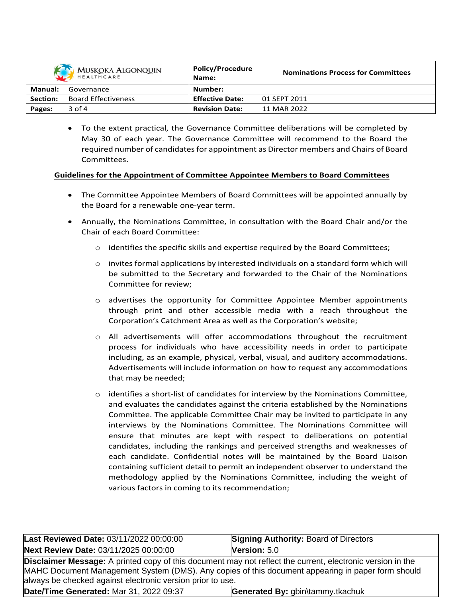| <b>MUSKOKA ALGONQUIN</b><br>HEALTHCARE |                            | <b>Policy/Procedure</b><br>Name: | <b>Nominations Process for Committees</b> |
|----------------------------------------|----------------------------|----------------------------------|-------------------------------------------|
| Manual:                                | Governance                 | Number:                          |                                           |
| Section:                               | <b>Board Effectiveness</b> | <b>Effective Date:</b>           | 01 SEPT 2011                              |
| Pages:                                 | $3$ of 4                   | <b>Revision Date:</b>            | 11 MAR 2022                               |

 To the extent practical, the Governance Committee deliberations will be completed by May 30 of each year. The Governance Committee will recommend to the Board the required number of candidates for appointment as Director members and Chairs of Board Committees.

## **Guidelines for the Appointment of Committee Appointee Members to Board Committees**

- The Committee Appointee Members of Board Committees will be appointed annually by the Board for a renewable one-year term.
- Annually, the Nominations Committee, in consultation with the Board Chair and/or the Chair of each Board Committee:
	- $\circ$  identifies the specific skills and expertise required by the Board Committees;
	- $\circ$  invites formal applications by interested individuals on a standard form which will be submitted to the Secretary and forwarded to the Chair of the Nominations Committee for review;
	- $\circ$  advertises the opportunity for Committee Appointee Member appointments through print and other accessible media with a reach throughout the Corporation's Catchment Area as well as the Corporation's website;
	- $\circ$  All advertisements will offer accommodations throughout the recruitment process for individuals who have accessibility needs in order to participate including, as an example, physical, verbal, visual, and auditory accommodations. Advertisements will include information on how to request any accommodations that may be needed;
	- $\circ$  identifies a short-list of candidates for interview by the Nominations Committee, and evaluates the candidates against the criteria established by the Nominations Committee. The applicable Committee Chair may be invited to participate in any interviews by the Nominations Committee. The Nominations Committee will ensure that minutes are kept with respect to deliberations on potential candidates, including the rankings and perceived strengths and weaknesses of each candidate. Confidential notes will be maintained by the Board Liaison containing sufficient detail to permit an independent observer to understand the methodology applied by the Nominations Committee, including the weight of various factors in coming to its recommendation;

| Last Reviewed Date: 03/11/2022 00:00:00                                                                                                                                                                                                                                              | <b>Signing Authority: Board of Directors</b> |  |  |
|--------------------------------------------------------------------------------------------------------------------------------------------------------------------------------------------------------------------------------------------------------------------------------------|----------------------------------------------|--|--|
| Next Review Date: 03/11/2025 00:00:00                                                                                                                                                                                                                                                | Version: $5.0$                               |  |  |
| <b>Disclaimer Message:</b> A printed copy of this document may not reflect the current, electronic version in the<br>MAHC Document Management System (DMS). Any copies of this document appearing in paper form should<br>always be checked against electronic version prior to use. |                                              |  |  |
| Date/Time Generated: Mar 31, 2022 09:37                                                                                                                                                                                                                                              | Generated By: gbin\tammy.tkachuk             |  |  |